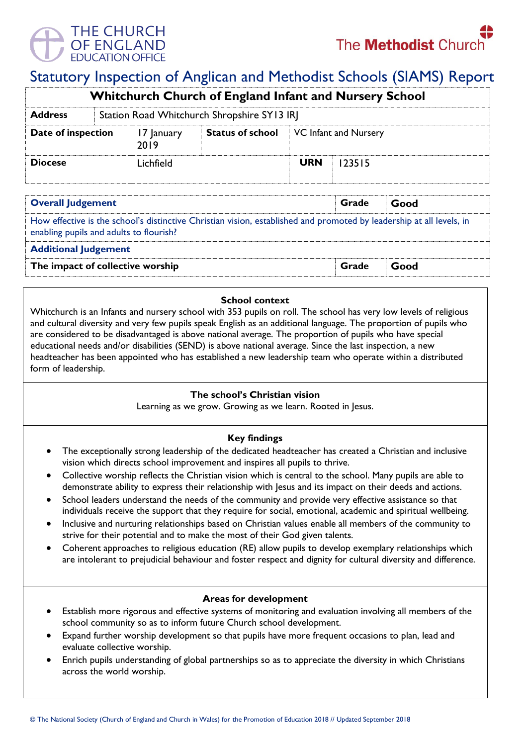

# Statutory Inspection of Anglican and Methodist Schools (SIAMS) Report

| <b>Whitchurch Church of England Infant and Nursery School</b> |  |                                             |                         |                       |        |  |  |
|---------------------------------------------------------------|--|---------------------------------------------|-------------------------|-----------------------|--------|--|--|
| <b>Address</b>                                                |  | Station Road Whitchurch Shropshire SY13 IRJ |                         |                       |        |  |  |
| Date of inspection                                            |  | 17 January<br>2019                          | <b>Status of school</b> | VC Infant and Nursery |        |  |  |
| <b>Diocese</b>                                                |  | Lichfield                                   |                         | <b>URN</b>            | 123515 |  |  |

| <b>Overall Judgement</b>                                                                                                                                        | Grade | Good |  |  |  |  |
|-----------------------------------------------------------------------------------------------------------------------------------------------------------------|-------|------|--|--|--|--|
| How effective is the school's distinctive Christian vision, established and promoted by leadership at all levels, in<br>enabling pupils and adults to flourish? |       |      |  |  |  |  |
| <b>Additional Judgement</b>                                                                                                                                     |       |      |  |  |  |  |
| The impact of collective worship                                                                                                                                | Grade | Good |  |  |  |  |

#### **School context**

Whitchurch is an Infants and nursery school with 353 pupils on roll. The school has very low levels of religious and cultural diversity and very few pupils speak English as an additional language. The proportion of pupils who are considered to be disadvantaged is above national average. The proportion of pupils who have special educational needs and/or disabilities (SEND) is above national average. Since the last inspection, a new headteacher has been appointed who has established a new leadership team who operate within a distributed form of leadership.

#### **The school's Christian vision**

Learning as we grow. Growing as we learn. Rooted in Jesus.

## **Key findings**

- The exceptionally strong leadership of the dedicated headteacher has created a Christian and inclusive vision which directs school improvement and inspires all pupils to thrive.
- Collective worship reflects the Christian vision which is central to the school. Many pupils are able to demonstrate ability to express their relationship with Jesus and its impact on their deeds and actions.
- School leaders understand the needs of the community and provide very effective assistance so that individuals receive the support that they require for social, emotional, academic and spiritual wellbeing.
- Inclusive and nurturing relationships based on Christian values enable all members of the community to strive for their potential and to make the most of their God given talents.
- Coherent approaches to religious education (RE) allow pupils to develop exemplary relationships which are intolerant to prejudicial behaviour and foster respect and dignity for cultural diversity and difference.

## **Areas for development**

- Establish more rigorous and effective systems of monitoring and evaluation involving all members of the school community so as to inform future Church school development.
- Expand further worship development so that pupils have more frequent occasions to plan, lead and evaluate collective worship.
- Enrich pupils understanding of global partnerships so as to appreciate the diversity in which Christians across the world worship.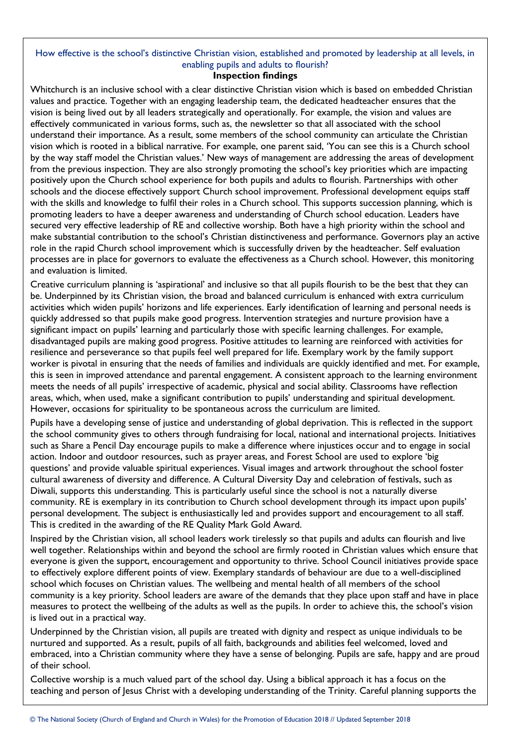# How effective is the school's distinctive Christian vision, established and promoted by leadership at all levels, in enabling pupils and adults to flourish?

# **Inspection findings**

Whitchurch is an inclusive school with a clear distinctive Christian vision which is based on embedded Christian values and practice. Together with an engaging leadership team, the dedicated headteacher ensures that the vision is being lived out by all leaders strategically and operationally. For example, the vision and values are effectively communicated in various forms, such as, the newsletter so that all associated with the school understand their importance. As a result, some members of the school community can articulate the Christian vision which is rooted in a biblical narrative. For example, one parent said, 'You can see this is a Church school by the way staff model the Christian values.' New ways of management are addressing the areas of development from the previous inspection. They are also strongly promoting the school's key priorities which are impacting positively upon the Church school experience for both pupils and adults to flourish. Partnerships with other schools and the diocese effectively support Church school improvement. Professional development equips staff with the skills and knowledge to fulfil their roles in a Church school. This supports succession planning, which is promoting leaders to have a deeper awareness and understanding of Church school education. Leaders have secured very effective leadership of RE and collective worship. Both have a high priority within the school and make substantial contribution to the school's Christian distinctiveness and performance. Governors play an active role in the rapid Church school improvement which is successfully driven by the headteacher. Self evaluation processes are in place for governors to evaluate the effectiveness as a Church school. However, this monitoring and evaluation is limited.

Creative curriculum planning is 'aspirational' and inclusive so that all pupils flourish to be the best that they can be. Underpinned by its Christian vision, the broad and balanced curriculum is enhanced with extra curriculum activities which widen pupils' horizons and life experiences. Early identification of learning and personal needs is quickly addressed so that pupils make good progress. Intervention strategies and nurture provision have a significant impact on pupils' learning and particularly those with specific learning challenges. For example, disadvantaged pupils are making good progress. Positive attitudes to learning are reinforced with activities for resilience and perseverance so that pupils feel well prepared for life. Exemplary work by the family support worker is pivotal in ensuring that the needs of families and individuals are quickly identified and met. For example, this is seen in improved attendance and parental engagement. A consistent approach to the learning environment meets the needs of all pupils' irrespective of academic, physical and social ability. Classrooms have reflection areas, which, when used, make a significant contribution to pupils' understanding and spiritual development. However, occasions for spirituality to be spontaneous across the curriculum are limited.

Pupils have a developing sense of justice and understanding of global deprivation. This is reflected in the support the school community gives to others through fundraising for local, national and international projects. Initiatives such as Share a Pencil Day encourage pupils to make a difference where injustices occur and to engage in social action. Indoor and outdoor resources, such as prayer areas, and Forest School are used to explore 'big questions' and provide valuable spiritual experiences. Visual images and artwork throughout the school foster cultural awareness of diversity and difference. A Cultural Diversity Day and celebration of festivals, such as Diwali, supports this understanding. This is particularly useful since the school is not a naturally diverse community. RE is exemplary in its contribution to Church school development through its impact upon pupils' personal development. The subject is enthusiastically led and provides support and encouragement to all staff. This is credited in the awarding of the RE Quality Mark Gold Award.

Inspired by the Christian vision, all school leaders work tirelessly so that pupils and adults can flourish and live well together. Relationships within and beyond the school are firmly rooted in Christian values which ensure that everyone is given the support, encouragement and opportunity to thrive. School Council initiatives provide space to effectively explore different points of view. Exemplary standards of behaviour are due to a well-disciplined school which focuses on Christian values. The wellbeing and mental health of all members of the school community is a key priority. School leaders are aware of the demands that they place upon staff and have in place measures to protect the wellbeing of the adults as well as the pupils. In order to achieve this, the school's vision is lived out in a practical way.

Underpinned by the Christian vision, all pupils are treated with dignity and respect as unique individuals to be nurtured and supported. As a result, pupils of all faith, backgrounds and abilities feel welcomed, loved and embraced, into a Christian community where they have a sense of belonging. Pupils are safe, happy and are proud of their school.

Collective worship is a much valued part of the school day. Using a biblical approach it has a focus on the teaching and person of Jesus Christ with a developing understanding of the Trinity. Careful planning supports the